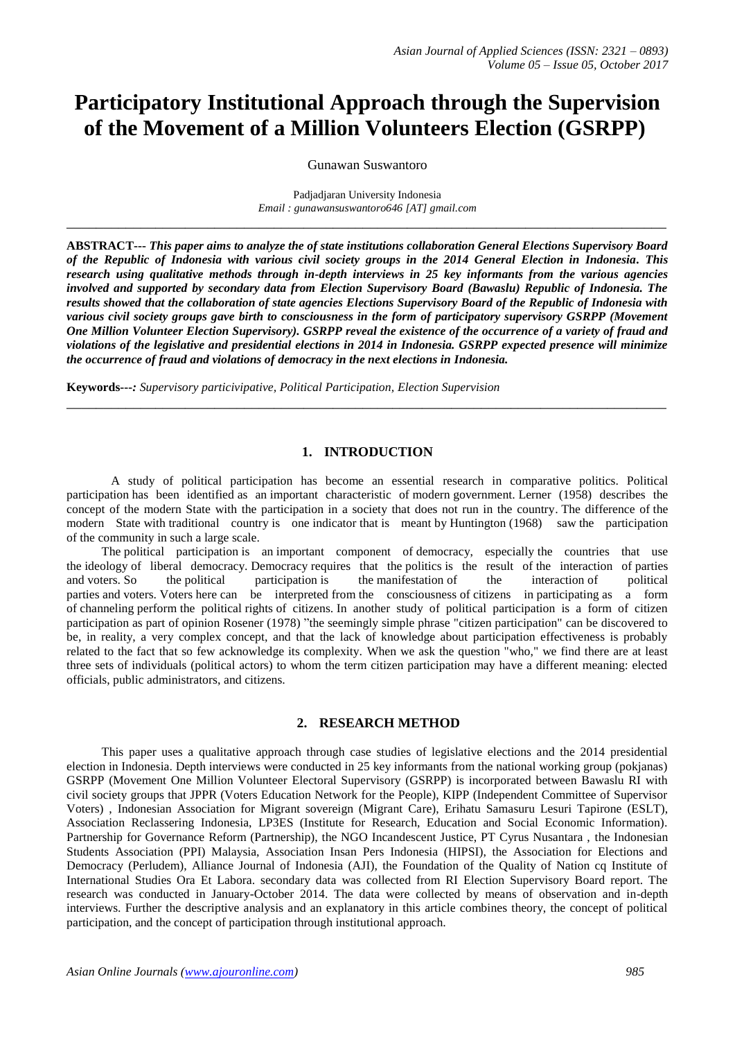# **Participatory Institutional Approach through the Supervision of the Movement of a Million Volunteers Election (GSRPP)**

Gunawan Suswantoro

Padjadjaran University Indonesia *Email : gunawansuswantoro646 [AT] gmail.com* **\_\_\_\_\_\_\_\_\_\_\_\_\_\_\_\_\_\_\_\_\_\_\_\_\_\_\_\_\_\_\_\_\_\_\_\_\_\_\_\_\_\_\_\_\_\_\_\_\_\_\_\_\_\_\_\_\_\_\_\_\_\_\_\_\_\_\_\_\_\_\_\_\_\_\_\_\_\_\_\_\_**

**ABSTRACT---** *This paper aims to analyze the of state institutions collaboration General Elections Supervisory Board of the Republic of Indonesia with various civil society groups in the 2014 General Election in Indonesia. This research using qualitative methods through in-depth interviews in 25 key informants from the various agencies involved and supported by secondary data from Election Supervisory Board (Bawaslu) Republic of Indonesia. The results showed that the collaboration of state agencies Elections Supervisory Board of the Republic of Indonesia with various civil society groups gave birth to consciousness in the form of participatory supervisory GSRPP (Movement One Million Volunteer Election Supervisory). GSRPP reveal the existence of the occurrence of a variety of fraud and violations of the legislative and presidential elections in 2014 in Indonesia. GSRPP expected presence will minimize the occurrence of fraud and violations of democracy in the next elections in Indonesia.*

**Keywords---***: Supervisory particivipative, Political Participation, Election Supervision*

## **1. INTRODUCTION**

**\_\_\_\_\_\_\_\_\_\_\_\_\_\_\_\_\_\_\_\_\_\_\_\_\_\_\_\_\_\_\_\_\_\_\_\_\_\_\_\_\_\_\_\_\_\_\_\_\_\_\_\_\_\_\_\_\_\_\_\_\_\_\_\_\_\_\_\_\_\_\_\_\_\_\_\_\_\_\_\_\_**

A study of political participation has become an essential research in comparative politics. Political participation has been identified as an important characteristic of modern government. Lerner (1958) describes the concept of the modern State with the participation in a society that does not run in the country. The difference of the modern State with traditional country is one indicator that is meant by Huntington (1968) saw the participation of the community in such a large scale.

The political participation is an important component of democracy, especially the countries that use the ideology of liberal democracy. Democracy requires that the politics is the result of the interaction of parties and voters. So the political participation is the manifestation of the interaction of political and voters. So the political participation is the manifestation of the interaction of political parties and voters. Voters here can be interpreted from the consciousness of citizens in participating as a form parties and voters. Voters here can be interpreted from the consciousness of citizens of channeling perform the political rights of citizens. In another study of political participation is a form of citizen participation as part of opinion Rosener (1978) "the seemingly simple phrase "citizen participation" can be discovered to be, in reality, a very complex concept, and that the lack of knowledge about participation effectiveness is probably related to the fact that so few acknowledge its complexity. When we ask the question "who," we find there are at least three sets of individuals (political actors) to whom the term citizen participation may have a different meaning: elected officials, public administrators, and citizens.

## **2. RESEARCH METHOD**

This paper uses a qualitative approach through case studies of legislative elections and the 2014 presidential election in Indonesia. Depth interviews were conducted in 25 key informants from the national working group (pokjanas) GSRPP (Movement One Million Volunteer Electoral Supervisory (GSRPP) is incorporated between Bawaslu RI with civil society groups that JPPR (Voters Education Network for the People), KIPP (Independent Committee of Supervisor Voters) , Indonesian Association for Migrant sovereign (Migrant Care), Erihatu Samasuru Lesuri Tapirone (ESLT), Association Reclassering Indonesia, LP3ES (Institute for Research, Education and Social Economic Information). Partnership for Governance Reform (Partnership), the NGO Incandescent Justice, PT Cyrus Nusantara , the Indonesian Students Association (PPI) Malaysia, Association Insan Pers Indonesia (HIPSI), the Association for Elections and Democracy (Perludem), Alliance Journal of Indonesia (AJI), the Foundation of the Quality of Nation cq Institute of International Studies Ora Et Labora. secondary data was collected from RI Election Supervisory Board report. The research was conducted in January-October 2014. The data were collected by means of observation and in-depth interviews. Further the descriptive analysis and an explanatory in this article combines theory, the concept of political participation, and the concept of participation through institutional approach.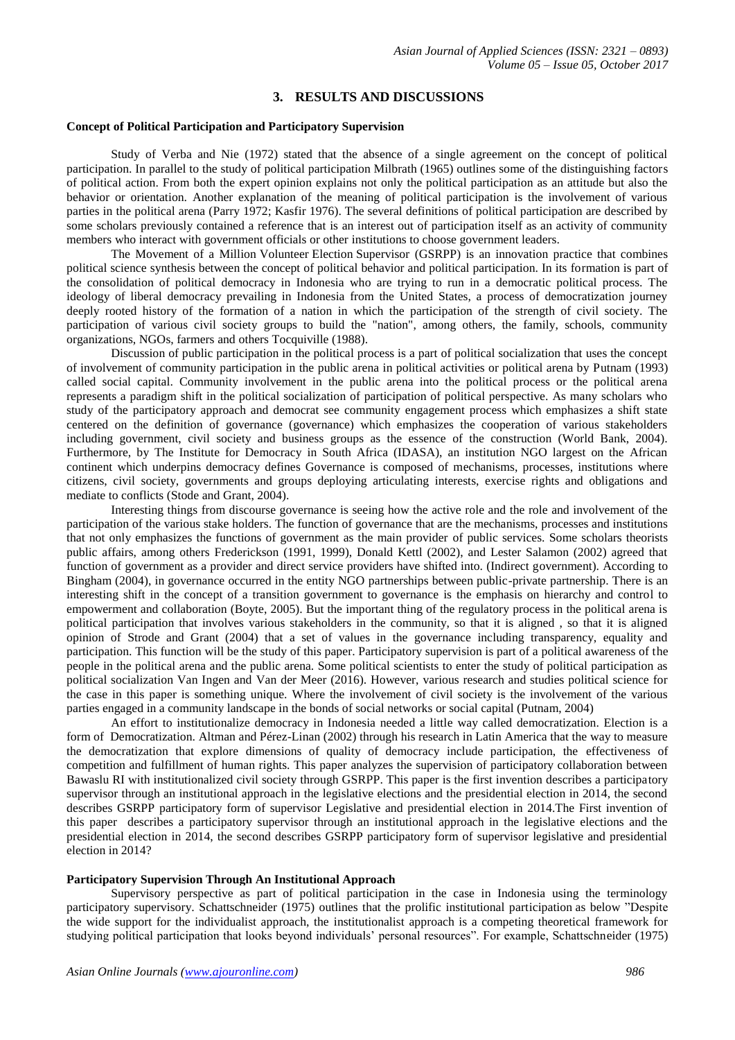## **3. RESULTS AND DISCUSSIONS**

#### **Concept of Political Participation and Participatory Supervision**

Study of Verba and Nie (1972) stated that the absence of a single agreement on the concept of political participation. In parallel to the study of political participation Milbrath (1965) outlines some of the distinguishing factors of political action. From both the expert opinion explains not only the political participation as an attitude but also the behavior or orientation. Another explanation of the meaning of political participation is the involvement of various parties in the political arena (Parry 1972; Kasfir 1976). The several definitions of political participation are described by some scholars previously contained a reference that is an interest out of participation itself as an activity of community members who interact with government officials or other institutions to choose government leaders.

The Movement of a Million Volunteer Election Supervisor (GSRPP) is an innovation practice that combines political science synthesis between the concept of political behavior and political participation. In its formation is part of the consolidation of political democracy in Indonesia who are trying to run in a democratic political process. The ideology of liberal democracy prevailing in Indonesia from the United States, a process of democratization journey deeply rooted history of the formation of a nation in which the participation of the strength of civil society. The participation of various civil society groups to build the "nation", among others, the family, schools, community organizations, NGOs, farmers and others Tocquiville (1988).

Discussion of public participation in the political process is a part of political socialization that uses the concept of involvement of community participation in the public arena in political activities or political arena by Putnam (1993) called social capital. Community involvement in the public arena into the political process or the political arena represents a paradigm shift in the political socialization of participation of political perspective. As many scholars who study of the participatory approach and democrat see community engagement process which emphasizes a shift state centered on the definition of governance (governance) which emphasizes the cooperation of various stakeholders including government, civil society and business groups as the essence of the construction (World Bank, 2004). Furthermore, by The Institute for Democracy in South Africa (IDASA), an institution NGO largest on the African continent which underpins democracy defines Governance is composed of mechanisms, processes, institutions where citizens, civil society, governments and groups deploying articulating interests, exercise rights and obligations and mediate to conflicts (Stode and Grant, 2004).

Interesting things from discourse governance is seeing how the active role and the role and involvement of the participation of the various stake holders. The function of governance that are the mechanisms, processes and institutions that not only emphasizes the functions of government as the main provider of public services. Some scholars theorists public affairs, among others Frederickson (1991, 1999), Donald Kettl (2002), and Lester Salamon (2002) agreed that function of government as a provider and direct service providers have shifted into. (Indirect government). According to Bingham (2004), in governance occurred in the entity NGO partnerships between public-private partnership. There is an interesting shift in the concept of a transition government to governance is the emphasis on hierarchy and control to empowerment and collaboration (Boyte, 2005). But the important thing of the regulatory process in the political arena is political participation that involves various stakeholders in the community, so that it is aligned , so that it is aligned opinion of Strode and Grant (2004) that a set of values in the governance including transparency, equality and participation. This function will be the study of this paper. Participatory supervision is part of a political awareness of the people in the political arena and the public arena. Some political scientists to enter the study of political participation as political socialization Van Ingen and Van der Meer (2016). However, various research and studies political science for the case in this paper is something unique. Where the involvement of civil society is the involvement of the various parties engaged in a community landscape in the bonds of social networks or social capital (Putnam, 2004)

An effort to institutionalize democracy in Indonesia needed a little way called democratization. Election is a form of Democratization. Altman and Pérez-Linan (2002) through his research in Latin America that the way to measure the democratization that explore dimensions of quality of democracy include participation, the effectiveness of competition and fulfillment of human rights. This paper analyzes the supervision of participatory collaboration between Bawaslu RI with institutionalized civil society through GSRPP. This paper is the first invention describes a participatory supervisor through an institutional approach in the legislative elections and the presidential election in 2014, the second describes GSRPP participatory form of supervisor Legislative and presidential election in 2014.The First invention of this paper describes a participatory supervisor through an institutional approach in the legislative elections and the presidential election in 2014, the second describes GSRPP participatory form of supervisor legislative and presidential election in 2014?

### **Participatory Supervision Through An Institutional Approach**

Supervisory perspective as part of political participation in the case in Indonesia using the terminology participatory supervisory. Schattschneider (1975) outlines that the prolific institutional participation as below "Despite the wide support for the individualist approach, the institutionalist approach is a competing theoretical framework for studying political participation that looks beyond individuals' personal resources". For example, Schattschneider (1975)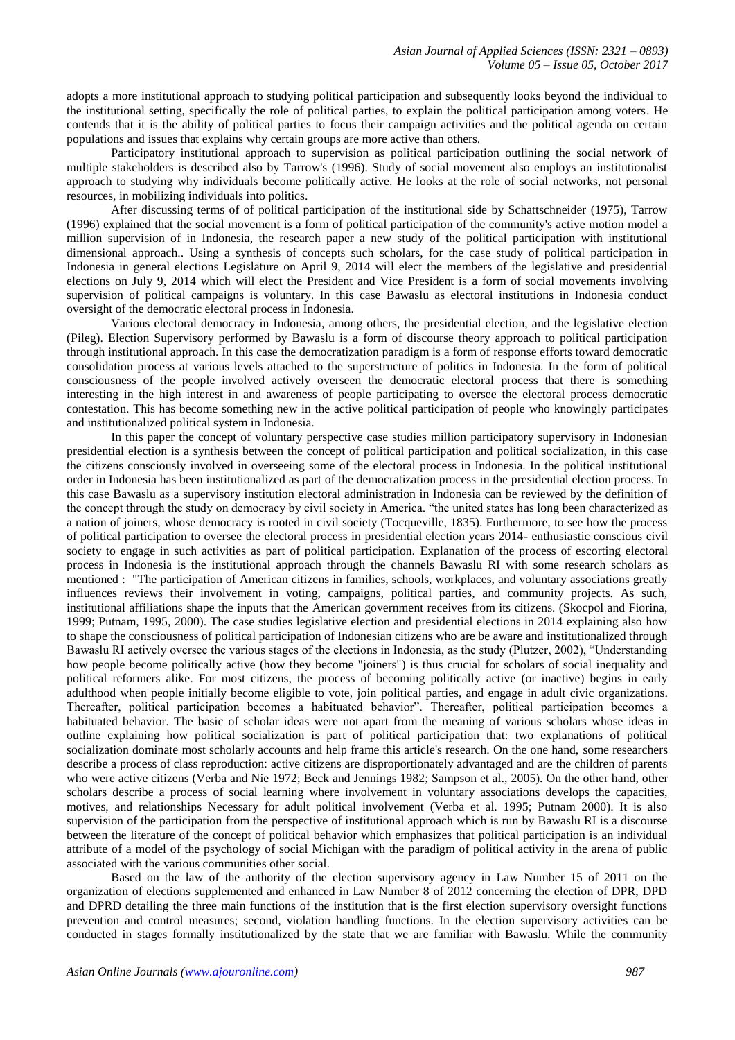adopts a more institutional approach to studying political participation and subsequently looks beyond the individual to the institutional setting, specifically the role of political parties, to explain the political participation among voters. He contends that it is the ability of political parties to focus their campaign activities and the political agenda on certain populations and issues that explains why certain groups are more active than others.

Participatory institutional approach to supervision as political participation outlining the social network of multiple stakeholders is described also by Tarrow's (1996). Study of social movement also employs an institutionalist approach to studying why individuals become politically active. He looks at the role of social networks, not personal resources, in mobilizing individuals into politics.

After discussing terms of of political participation of the institutional side by Schattschneider (1975), Tarrow (1996) explained that the social movement is a form of political participation of the community's active motion model a million supervision of in Indonesia, the research paper a new study of the political participation with institutional dimensional approach.. Using a synthesis of concepts such scholars, for the case study of political participation in Indonesia in general elections Legislature on April 9, 2014 will elect the members of the legislative and presidential elections on July 9, 2014 which will elect the President and Vice President is a form of social movements involving supervision of political campaigns is voluntary. In this case Bawaslu as electoral institutions in Indonesia conduct oversight of the democratic electoral process in Indonesia.

Various electoral democracy in Indonesia, among others, the presidential election, and the legislative election (Pileg). Election Supervisory performed by Bawaslu is a form of discourse theory approach to political participation through institutional approach. In this case the democratization paradigm is a form of response efforts toward democratic consolidation process at various levels attached to the superstructure of politics in Indonesia. In the form of political consciousness of the people involved actively overseen the democratic electoral process that there is something interesting in the high interest in and awareness of people participating to oversee the electoral process democratic contestation. This has become something new in the active political participation of people who knowingly participates and institutionalized political system in Indonesia.

In this paper the concept of voluntary perspective case studies million participatory supervisory in Indonesian presidential election is a synthesis between the concept of political participation and political socialization, in this case the citizens consciously involved in overseeing some of the electoral process in Indonesia. In the political institutional order in Indonesia has been institutionalized as part of the democratization process in the presidential election process. In this case Bawaslu as a supervisory institution electoral administration in Indonesia can be reviewed by the definition of the concept through the study on democracy by civil society in America. "the united states has long been characterized as a nation of joiners, whose democracy is rooted in civil society (Tocqueville, 1835). Furthermore, to see how the process of political participation to oversee the electoral process in presidential election years 2014- enthusiastic conscious civil society to engage in such activities as part of political participation. Explanation of the process of escorting electoral process in Indonesia is the institutional approach through the channels Bawaslu RI with some research scholars as mentioned : "The participation of American citizens in families, schools, workplaces, and voluntary associations greatly influences reviews their involvement in voting, campaigns, political parties, and community projects. As such, institutional affiliations shape the inputs that the American government receives from its citizens. (Skocpol and Fiorina, 1999; Putnam, 1995, 2000). The case studies legislative election and presidential elections in 2014 explaining also how to shape the consciousness of political participation of Indonesian citizens who are be aware and institutionalized through Bawaslu RI actively oversee the various stages of the elections in Indonesia, as the study (Plutzer, 2002), "Understanding how people become politically active (how they become "joiners") is thus crucial for scholars of social inequality and political reformers alike. For most citizens, the process of becoming politically active (or inactive) begins in early adulthood when people initially become eligible to vote, join political parties, and engage in adult civic organizations. Thereafter, political participation becomes a habituated behavior". Thereafter, political participation becomes a habituated behavior. The basic of scholar ideas were not apart from the meaning of various scholars whose ideas in outline explaining how political socialization is part of political participation that: two explanations of political socialization dominate most scholarly accounts and help frame this article's research. On the one hand, some researchers describe a process of class reproduction: active citizens are disproportionately advantaged and are the children of parents who were active citizens (Verba and Nie 1972; Beck and Jennings 1982; Sampson et al., 2005). On the other hand, other scholars describe a process of social learning where involvement in voluntary associations develops the capacities, motives, and relationships Necessary for adult political involvement (Verba et al. 1995; Putnam 2000). It is also supervision of the participation from the perspective of institutional approach which is run by Bawaslu RI is a discourse between the literature of the concept of political behavior which emphasizes that political participation is an individual attribute of a model of the psychology of social Michigan with the paradigm of political activity in the arena of public associated with the various communities other social.

Based on the law of the authority of the election supervisory agency in Law Number 15 of 2011 on the organization of elections supplemented and enhanced in Law Number 8 of 2012 concerning the election of DPR, DPD and DPRD detailing the three main functions of the institution that is the first election supervisory oversight functions prevention and control measures; second, violation handling functions. In the election supervisory activities can be conducted in stages formally institutionalized by the state that we are familiar with Bawaslu. While the community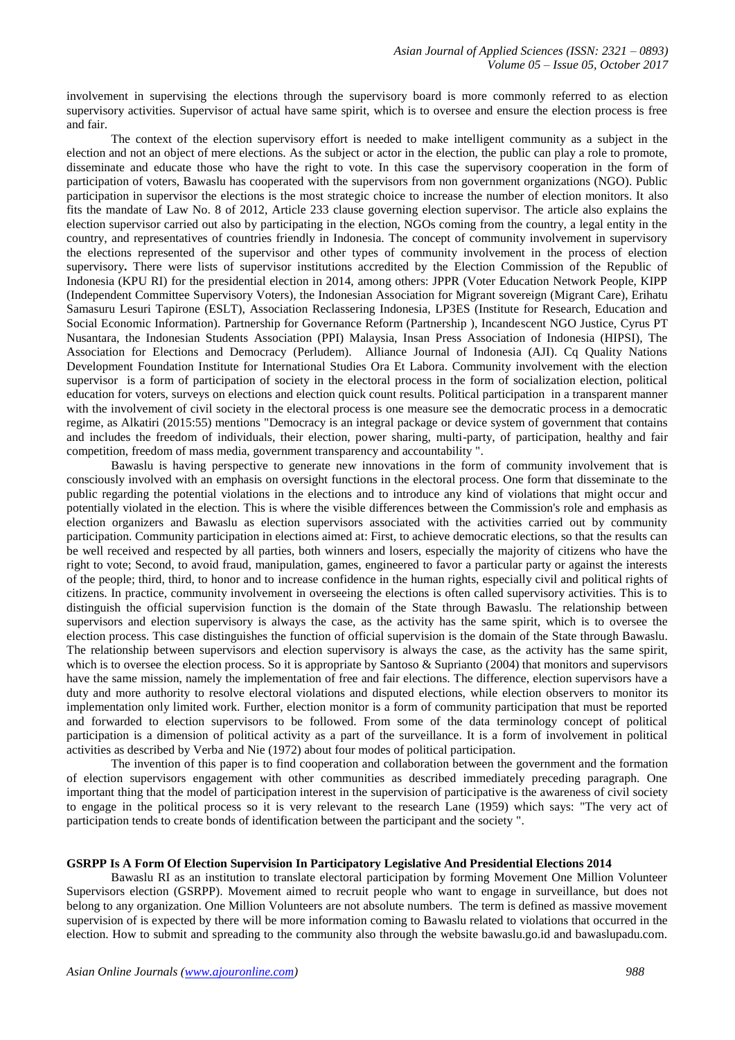involvement in supervising the elections through the supervisory board is more commonly referred to as election supervisory activities. Supervisor of actual have same spirit, which is to oversee and ensure the election process is free and fair.

The context of the election supervisory effort is needed to make intelligent community as a subject in the election and not an object of mere elections. As the subject or actor in the election, the public can play a role to promote, disseminate and educate those who have the right to vote. In this case the supervisory cooperation in the form of participation of voters, Bawaslu has cooperated with the supervisors from non government organizations (NGO). Public participation in supervisor the elections is the most strategic choice to increase the number of election monitors. It also fits the mandate of Law No. 8 of 2012, Article 233 clause governing election supervisor. The article also explains the election supervisor carried out also by participating in the election, NGOs coming from the country, a legal entity in the country, and representatives of countries friendly in Indonesia. The concept of community involvement in supervisory the elections represented of the supervisor and other types of community involvement in the process of election supervisory**.** There were lists of supervisor institutions accredited by the Election Commission of the Republic of Indonesia (KPU RI) for the presidential election in 2014, among others: JPPR (Voter Education Network People, KIPP (Independent Committee Supervisory Voters), the Indonesian Association for Migrant sovereign (Migrant Care), Erihatu Samasuru Lesuri Tapirone (ESLT), Association Reclassering Indonesia, LP3ES (Institute for Research, Education and Social Economic Information). Partnership for Governance Reform (Partnership ), Incandescent NGO Justice, Cyrus PT Nusantara, the Indonesian Students Association (PPI) Malaysia, Insan Press Association of Indonesia (HIPSI), The Association for Elections and Democracy (Perludem). Alliance Journal of Indonesia (AJI). Cq Quality Nations Development Foundation Institute for International Studies Ora Et Labora. Community involvement with the election supervisor is a form of participation of society in the electoral process in the form of socialization election, political education for voters, surveys on elections and election quick count results. Political participation in a transparent manner with the involvement of civil society in the electoral process is one measure see the democratic process in a democratic regime, as Alkatiri (2015:55) mentions "Democracy is an integral package or device system of government that contains and includes the freedom of individuals, their election, power sharing, multi-party, of participation, healthy and fair competition, freedom of mass media, government transparency and accountability ".

Bawaslu is having perspective to generate new innovations in the form of community involvement that is consciously involved with an emphasis on oversight functions in the electoral process. One form that disseminate to the public regarding the potential violations in the elections and to introduce any kind of violations that might occur and potentially violated in the election. This is where the visible differences between the Commission's role and emphasis as election organizers and Bawaslu as election supervisors associated with the activities carried out by community participation. Community participation in elections aimed at: First, to achieve democratic elections, so that the results can be well received and respected by all parties, both winners and losers, especially the majority of citizens who have the right to vote; Second, to avoid fraud, manipulation, games, engineered to favor a particular party or against the interests of the people; third, third, to honor and to increase confidence in the human rights, especially civil and political rights of citizens. In practice, community involvement in overseeing the elections is often called supervisory activities. This is to distinguish the official supervision function is the domain of the State through Bawaslu. The relationship between supervisors and election supervisory is always the case, as the activity has the same spirit, which is to oversee the election process. This case distinguishes the function of official supervision is the domain of the State through Bawaslu. The relationship between supervisors and election supervisory is always the case, as the activity has the same spirit, which is to oversee the election process. So it is appropriate by Santoso & Suprianto (2004) that monitors and supervisors have the same mission, namely the implementation of free and fair elections. The difference, election supervisors have a duty and more authority to resolve electoral violations and disputed elections, while election observers to monitor its implementation only limited work. Further, election monitor is a form of community participation that must be reported and forwarded to election supervisors to be followed. From some of the data terminology concept of political participation is a dimension of political activity as a part of the surveillance. It is a form of involvement in political activities as described by Verba and Nie (1972) about four modes of political participation.

The invention of this paper is to find cooperation and collaboration between the government and the formation of election supervisors engagement with other communities as described immediately preceding paragraph. One important thing that the model of participation interest in the supervision of participative is the awareness of civil society to engage in the political process so it is very relevant to the research Lane (1959) which says: "The very act of participation tends to create bonds of identification between the participant and the society ".

### **GSRPP Is A Form Of Election Supervision In Participatory Legislative And Presidential Elections 2014**

Bawaslu RI as an institution to translate electoral participation by forming Movement One Million Volunteer Supervisors election (GSRPP). Movement aimed to recruit people who want to engage in surveillance, but does not belong to any organization. One Million Volunteers are not absolute numbers. The term is defined as massive movement supervision of is expected by there will be more information coming to Bawaslu related to violations that occurred in the election. How to submit and spreading to the community also through the website bawaslu.go.id and bawaslupadu.com.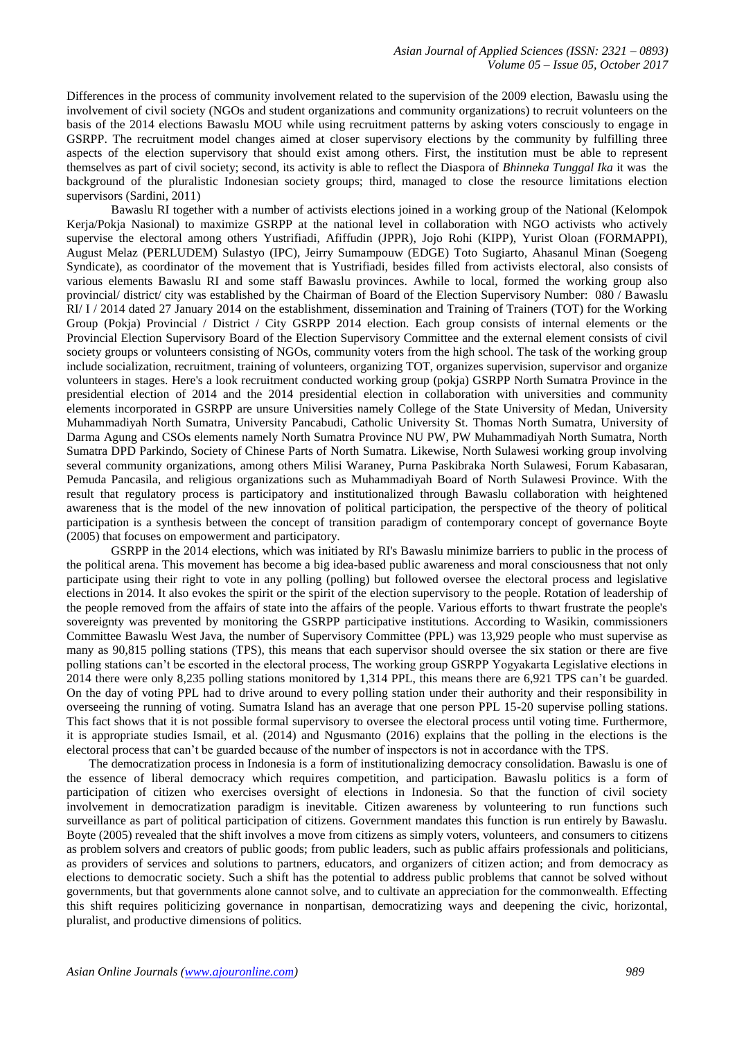Differences in the process of community involvement related to the supervision of the 2009 election, Bawaslu using the involvement of civil society (NGOs and student organizations and community organizations) to recruit volunteers on the basis of the 2014 elections Bawaslu MOU while using recruitment patterns by asking voters consciously to engage in GSRPP. The recruitment model changes aimed at closer supervisory elections by the community by fulfilling three aspects of the election supervisory that should exist among others. First, the institution must be able to represent themselves as part of civil society; second, its activity is able to reflect the Diaspora of *Bhinneka Tunggal Ika* it was the background of the pluralistic Indonesian society groups; third, managed to close the resource limitations election supervisors (Sardini, 2011)

Bawaslu RI together with a number of activists elections joined in a working group of the National (Kelompok Kerja/Pokja Nasional) to maximize GSRPP at the national level in collaboration with NGO activists who actively supervise the electoral among others Yustrifiadi, Afiffudin (JPPR), Jojo Rohi (KIPP), Yurist Oloan (FORMAPPI), August Melaz (PERLUDEM) Sulastyo (IPC), Jeirry Sumampouw (EDGE) Toto Sugiarto, Ahasanul Minan (Soegeng Syndicate), as coordinator of the movement that is Yustrifiadi, besides filled from activists electoral, also consists of various elements Bawaslu RI and some staff Bawaslu provinces. Awhile to local, formed the working group also provincial/ district/ city was established by the Chairman of Board of the Election Supervisory Number: 080 / Bawaslu RI/ I / 2014 dated 27 January 2014 on the establishment, dissemination and Training of Trainers (TOT) for the Working Group (Pokja) Provincial / District / City GSRPP 2014 election. Each group consists of internal elements or the Provincial Election Supervisory Board of the Election Supervisory Committee and the external element consists of civil society groups or volunteers consisting of NGOs, community voters from the high school. The task of the working group include socialization, recruitment, training of volunteers, organizing TOT, organizes supervision, supervisor and organize volunteers in stages. Here's a look recruitment conducted working group (pokja) GSRPP North Sumatra Province in the presidential election of 2014 and the 2014 presidential election in collaboration with universities and community elements incorporated in GSRPP are unsure Universities namely College of the State University of Medan, University Muhammadiyah North Sumatra, University Pancabudi, Catholic University St. Thomas North Sumatra, University of Darma Agung and CSOs elements namely North Sumatra Province NU PW, PW Muhammadiyah North Sumatra, North Sumatra DPD Parkindo, Society of Chinese Parts of North Sumatra. Likewise, North Sulawesi working group involving several community organizations, among others Milisi Waraney, Purna Paskibraka North Sulawesi, Forum Kabasaran, Pemuda Pancasila, and religious organizations such as Muhammadiyah Board of North Sulawesi Province. With the result that regulatory process is participatory and institutionalized through Bawaslu collaboration with heightened awareness that is the model of the new innovation of political participation, the perspective of the theory of political participation is a synthesis between the concept of transition paradigm of contemporary concept of governance Boyte (2005) that focuses on empowerment and participatory.

GSRPP in the 2014 elections, which was initiated by RI's Bawaslu minimize barriers to public in the process of the political arena. This movement has become a big idea-based public awareness and moral consciousness that not only participate using their right to vote in any polling (polling) but followed oversee the electoral process and legislative elections in 2014. It also evokes the spirit or the spirit of the election supervisory to the people. Rotation of leadership of the people removed from the affairs of state into the affairs of the people. Various efforts to thwart frustrate the people's sovereignty was prevented by monitoring the GSRPP participative institutions. According to Wasikin, commissioners Committee Bawaslu West Java, the number of Supervisory Committee (PPL) was 13,929 people who must supervise as many as 90,815 polling stations (TPS), this means that each supervisor should oversee the six station or there are five polling stations can't be escorted in the electoral process, The working group GSRPP Yogyakarta Legislative elections in 2014 there were only 8,235 polling stations monitored by 1,314 PPL, this means there are 6,921 TPS can't be guarded. On the day of voting PPL had to drive around to every polling station under their authority and their responsibility in overseeing the running of voting. Sumatra Island has an average that one person PPL 15-20 supervise polling stations. This fact shows that it is not possible formal supervisory to oversee the electoral process until voting time. Furthermore, it is appropriate studies Ismail, et al. (2014) and Ngusmanto (2016) explains that the polling in the elections is the electoral process that can't be guarded because of the number of inspectors is not in accordance with the TPS.

The democratization process in Indonesia is a form of institutionalizing democracy consolidation. Bawaslu is one of the essence of liberal democracy which requires competition, and participation. Bawaslu politics is a form of participation of citizen who exercises oversight of elections in Indonesia. So that the function of civil society involvement in democratization paradigm is inevitable. Citizen awareness by volunteering to run functions such surveillance as part of political participation of citizens. Government mandates this function is run entirely by Bawaslu. Boyte (2005) revealed that the shift involves a move from citizens as simply voters, volunteers, and consumers to citizens as problem solvers and creators of public goods; from public leaders, such as public affairs professionals and politicians, as providers of services and solutions to partners, educators, and organizers of citizen action; and from democracy as elections to democratic society. Such a shift has the potential to address public problems that cannot be solved without governments, but that governments alone cannot solve, and to cultivate an appreciation for the commonwealth. Effecting this shift requires politicizing governance in nonpartisan, democratizing ways and deepening the civic, horizontal, pluralist, and productive dimensions of politics.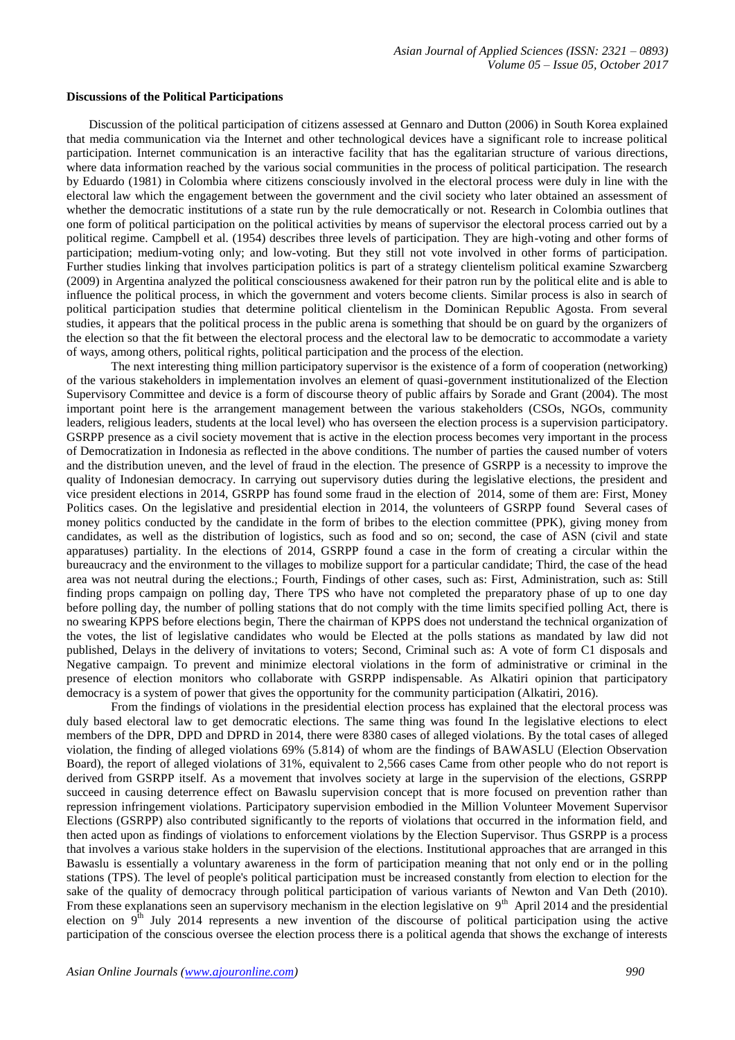#### **Discussions of the Political Participations**

Discussion of the political participation of citizens assessed at Gennaro and Dutton (2006) in South Korea explained that media communication via the Internet and other technological devices have a significant role to increase political participation. Internet communication is an interactive facility that has the egalitarian structure of various directions, where data information reached by the various social communities in the process of political participation. The research by Eduardo (1981) in Colombia where citizens consciously involved in the electoral process were duly in line with the electoral law which the engagement between the government and the civil society who later obtained an assessment of whether the democratic institutions of a state run by the rule democratically or not. Research in Colombia outlines that one form of political participation on the political activities by means of supervisor the electoral process carried out by a political regime. Campbell et al. (1954) describes three levels of participation. They are high-voting and other forms of participation; medium-voting only; and low-voting. But they still not vote involved in other forms of participation. Further studies linking that involves participation politics is part of a strategy clientelism political examine Szwarcberg (2009) in Argentina analyzed the political consciousness awakened for their patron run by the political elite and is able to influence the political process, in which the government and voters become clients. Similar process is also in search of political participation studies that determine political clientelism in the Dominican Republic Agosta. From several studies, it appears that the political process in the public arena is something that should be on guard by the organizers of the election so that the fit between the electoral process and the electoral law to be democratic to accommodate a variety of ways, among others, political rights, political participation and the process of the election.

The next interesting thing million participatory supervisor is the existence of a form of cooperation (networking) of the various stakeholders in implementation involves an element of quasi-government institutionalized of the Election Supervisory Committee and device is a form of discourse theory of public affairs by Sorade and Grant (2004). The most important point here is the arrangement management between the various stakeholders (CSOs, NGOs, community leaders, religious leaders, students at the local level) who has overseen the election process is a supervision participatory. GSRPP presence as a civil society movement that is active in the election process becomes very important in the process of Democratization in Indonesia as reflected in the above conditions. The number of parties the caused number of voters and the distribution uneven, and the level of fraud in the election. The presence of GSRPP is a necessity to improve the quality of Indonesian democracy. In carrying out supervisory duties during the legislative elections, the president and vice president elections in 2014, GSRPP has found some fraud in the election of 2014, some of them are: First, Money Politics cases. On the legislative and presidential election in 2014, the volunteers of GSRPP found Several cases of money politics conducted by the candidate in the form of bribes to the election committee (PPK), giving money from candidates, as well as the distribution of logistics, such as food and so on; second, the case of ASN (civil and state apparatuses) partiality. In the elections of 2014, GSRPP found a case in the form of creating a circular within the bureaucracy and the environment to the villages to mobilize support for a particular candidate; Third, the case of the head area was not neutral during the elections.; Fourth, Findings of other cases, such as: First, Administration, such as: Still finding props campaign on polling day, There TPS who have not completed the preparatory phase of up to one day before polling day, the number of polling stations that do not comply with the time limits specified polling Act, there is no swearing KPPS before elections begin, There the chairman of KPPS does not understand the technical organization of the votes, the list of legislative candidates who would be Elected at the polls stations as mandated by law did not published, Delays in the delivery of invitations to voters; Second, Criminal such as: A vote of form C1 disposals and Negative campaign. To prevent and minimize electoral violations in the form of administrative or criminal in the presence of election monitors who collaborate with GSRPP indispensable. As Alkatiri opinion that participatory democracy is a system of power that gives the opportunity for the community participation (Alkatiri, 2016).

From the findings of violations in the presidential election process has explained that the electoral process was duly based electoral law to get democratic elections. The same thing was found In the legislative elections to elect members of the DPR, DPD and DPRD in 2014, there were 8380 cases of alleged violations. By the total cases of alleged violation, the finding of alleged violations 69% (5.814) of whom are the findings of BAWASLU (Election Observation Board), the report of alleged violations of 31%, equivalent to 2,566 cases Came from other people who do not report is derived from GSRPP itself. As a movement that involves society at large in the supervision of the elections, GSRPP succeed in causing deterrence effect on Bawaslu supervision concept that is more focused on prevention rather than repression infringement violations. Participatory supervision embodied in the Million Volunteer Movement Supervisor Elections (GSRPP) also contributed significantly to the reports of violations that occurred in the information field, and then acted upon as findings of violations to enforcement violations by the Election Supervisor. Thus GSRPP is a process that involves a various stake holders in the supervision of the elections. Institutional approaches that are arranged in this Bawaslu is essentially a voluntary awareness in the form of participation meaning that not only end or in the polling stations (TPS). The level of people's political participation must be increased constantly from election to election for the sake of the quality of democracy through political participation of various variants of Newton and Van Deth (2010). From these explanations seen an supervisory mechanism in the election legislative on  $9<sup>th</sup>$  April 2014 and the presidential election on 9<sup>th</sup> July 2014 represents a new invention of the discourse of political participation using the active participation of the conscious oversee the election process there is a political agenda that shows the exchange of interests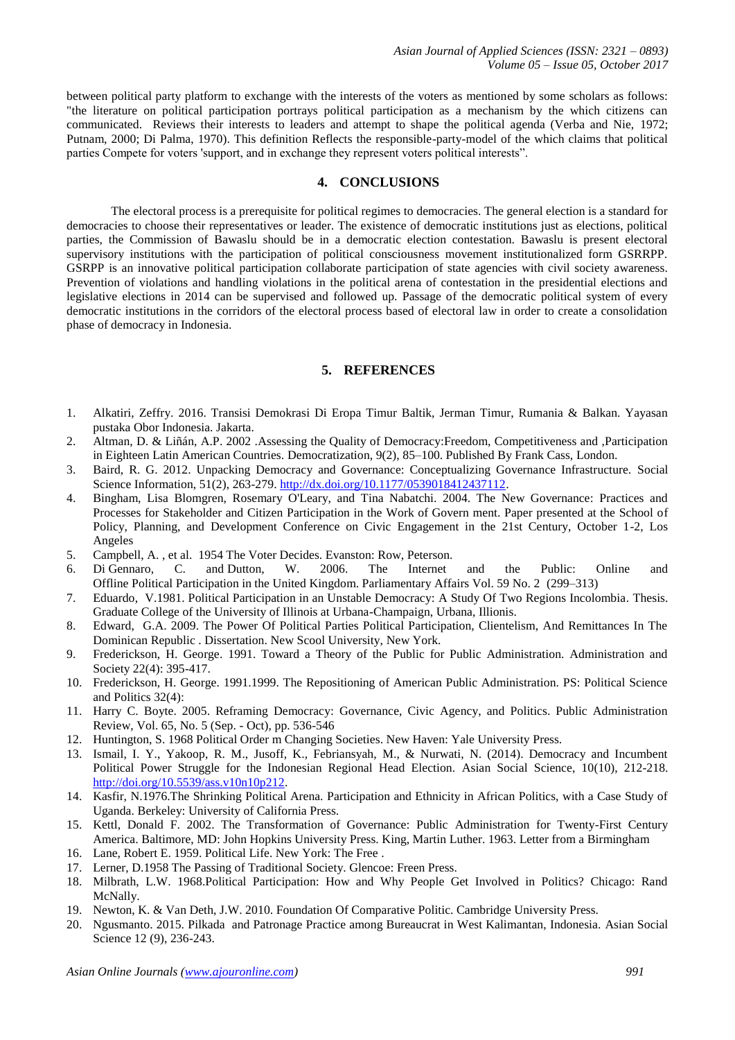between political party platform to exchange with the interests of the voters as mentioned by some scholars as follows: "the literature on political participation portrays political participation as a mechanism by the which citizens can communicated. Reviews their interests to leaders and attempt to shape the political agenda (Verba and Nie, 1972; Putnam, 2000; Di Palma, 1970). This definition Reflects the responsible-party-model of the which claims that political parties Compete for voters 'support, and in exchange they represent voters political interests".

## **4. CONCLUSIONS**

The electoral process is a prerequisite for political regimes to democracies. The general election is a standard for democracies to choose their representatives or leader. The existence of democratic institutions just as elections, political parties, the Commission of Bawaslu should be in a democratic election contestation. Bawaslu is present electoral supervisory institutions with the participation of political consciousness movement institutionalized form GSRRPP. GSRPP is an innovative political participation collaborate participation of state agencies with civil society awareness. Prevention of violations and handling violations in the political arena of contestation in the presidential elections and legislative elections in 2014 can be supervised and followed up. Passage of the democratic political system of every democratic institutions in the corridors of the electoral process based of electoral law in order to create a consolidation phase of democracy in Indonesia.

## **5. REFERENCES**

- 1. Alkatiri, Zeffry. 2016. Transisi Demokrasi Di Eropa Timur Baltik, Jerman Timur, Rumania & Balkan. Yayasan pustaka Obor Indonesia. Jakarta.
- 2. Altman, D. & Liñán, A.P. 2002 .Assessing the Quality of Democracy:Freedom, Competitiveness and ,Participation in Eighteen Latin American Countries. Democratization, 9(2), 85–100. Published By Frank Cass, London.
- 3. Baird, R. G. 2012. Unpacking Democracy and Governance: Conceptualizing Governance Infrastructure. Social Science Information, 51(2), 263-279[. http://dx.doi.org/10.1177/0539018412437112.](http://dx.doi.org/10.1177/0539018412437112)
- 4. Bingham, Lisa Blomgren, Rosemary O'Leary, and Tina Nabatchi. 2004. The New Governance: Practices and Processes for Stakeholder and Citizen Participation in the Work of Govern ment. Paper presented at the School of Policy, Planning, and Development Conference on Civic Engagement in the 21st Century, October 1-2, Los Angeles
- 5. Campbell, A. , et al. 1954 The Voter Decides. Evanston: Row, Peterson.
- 6. Di Gennaro, C. and Dutton, W. 2006. The Internet and the Public: Online and Offline Political Participation in the United Kingdom. Parliamentary Affairs Vol. 59 No. 2 (299–313)
- 7. Eduardo, V.1981. Political Participation in an Unstable Democracy: A Study Of Two Regions Incolombia. Thesis. Graduate College of the University of Illinois at Urbana-Champaign, Urbana, Illionis.
- 8. Edward, G.A. 2009. The Power Of Political Parties Political Participation, Clientelism, And Remittances In The Dominican Republic . Dissertation. New Scool University, New York.
- 9. Frederickson, H. George. 1991. Toward a Theory of the Public for Public Administration. Administration and Society 22(4): 395-417.
- 10. Frederickson, H. George. 1991.1999. The Repositioning of American Public Administration. PS: Political Science and Politics 32(4):
- 11. Harry C. Boyte. 2005. Reframing Democracy: Governance, Civic Agency, and Politics. Public Administration Review, Vol. 65, No. 5 (Sep. - Oct), pp. 536-546
- 12. Huntington, S. 1968 Political Order m Changing Societies. New Haven: Yale University Press.
- 13. Ismail, I. Y., Yakoop, R. M., Jusoff, K., Febriansyah, M., & Nurwati, N. (2014). Democracy and Incumbent Political Power Struggle for the Indonesian Regional Head Election. Asian Social Science, 10(10), 212-218. [http://doi.org/10.5539/ass.v10n10p212.](http://doi.org/10.5539/ass.v10n10p212)
- 14. Kasfir, N.1976.The Shrinking Political Arena. Participation and Ethnicity in African Politics, with a Case Study of Uganda. Berkeley: University of California Press.
- 15. Kettl, Donald F. 2002. The Transformation of Governance: Public Administration for Twenty-First Century America. Baltimore, MD: John Hopkins University Press. King, Martin Luther. 1963. Letter from a Birmingham
- 16. Lane, Robert E. 1959. Political Life. New York: The Free .
- 17. Lerner, D.1958 The Passing of Traditional Society. Glencoe: Freen Press.
- 18. Milbrath, L.W. 1968.Political Participation: How and Why People Get Involved in Politics? Chicago: Rand McNally.
- 19. Newton, K. & Van Deth, J.W. 2010. Foundation Of Comparative Politic. Cambridge University Press.
- 20. Ngusmanto. 2015. Pilkada and Patronage Practice among Bureaucrat in West Kalimantan, Indonesia. Asian Social Science 12 (9), 236-243.